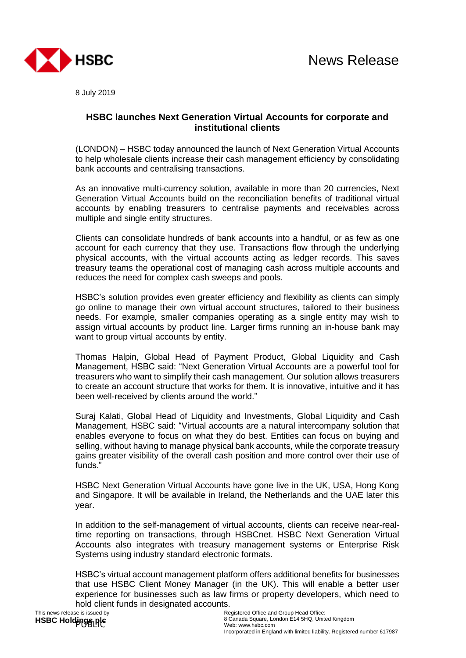

8 July 2019

## **HSBC launches Next Generation Virtual Accounts for corporate and institutional clients**

(LONDON) – HSBC today announced the launch of Next Generation Virtual Accounts to help wholesale clients increase their cash management efficiency by consolidating bank accounts and centralising transactions.

As an innovative multi-currency solution, available in more than 20 currencies, Next Generation Virtual Accounts build on the reconciliation benefits of traditional virtual accounts by enabling treasurers to centralise payments and receivables across multiple and single entity structures.

Clients can consolidate hundreds of bank accounts into a handful, or as few as one account for each currency that they use. Transactions flow through the underlying physical accounts, with the virtual accounts acting as ledger records. This saves treasury teams the operational cost of managing cash across multiple accounts and reduces the need for complex cash sweeps and pools.

HSBC's solution provides even greater efficiency and flexibility as clients can simply go online to manage their own virtual account structures, tailored to their business needs. For example, smaller companies operating as a single entity may wish to assign virtual accounts by product line. Larger firms running an in-house bank may want to group virtual accounts by entity.

Thomas Halpin, Global Head of Payment Product, Global Liquidity and Cash Management, HSBC said: "Next Generation Virtual Accounts are a powerful tool for treasurers who want to simplify their cash management. Our solution allows treasurers to create an account structure that works for them. It is innovative, intuitive and it has been well-received by clients around the world."

Suraj Kalati, Global Head of Liquidity and Investments, Global Liquidity and Cash Management, HSBC said: "Virtual accounts are a natural intercompany solution that enables everyone to focus on what they do best. Entities can focus on buying and selling, without having to manage physical bank accounts, while the corporate treasury gains greater visibility of the overall cash position and more control over their use of funds.'

HSBC Next Generation Virtual Accounts have gone live in the UK, USA, Hong Kong and Singapore. It will be available in Ireland, the Netherlands and the UAE later this year.

In addition to the self-management of virtual accounts, clients can receive near-realtime reporting on transactions, through HSBCnet. HSBC Next Generation Virtual Accounts also integrates with treasury management systems or Enterprise Risk Systems using industry standard electronic formats.

HSBC's virtual account management platform offers additional benefits for businesses that use HSBC Client Money Manager (in the UK). This will enable a better user experience for businesses such as law firms or property developers, which need to hold client funds in designated accounts.